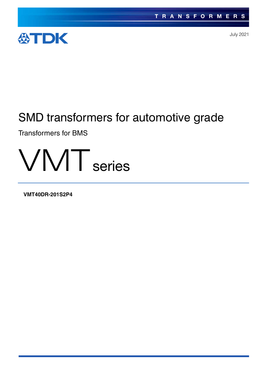

July 2021

# SMD transformers for automotive grade

Transformers for BMS



**VMT40DR-201S2P4**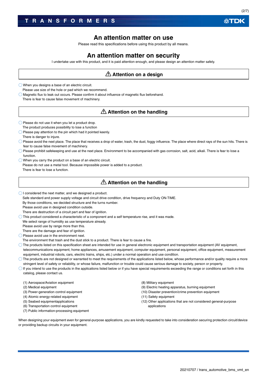### **An attention matter on use**

Please read this specifications before using this product by all means.

### **An attention matter on security**

I undertake use with this product, and it is paid attention enough, and please design an attention matter safely.

### **Attention on a design**

When you designs a base of an electric circuit.

Please use size of the hole or pad which we recommend.

 $\bigcirc$  Magnetic flux to leak out occurs. Please confirm it about influence of magnetic flux beforehand. There is fear to cause false movement of machinery.

### **Attention on the handling**

 $\bigcirc$  Please do not use it when you let a product drop. The product produces possibility to lose a function

There is danger to injure.

- $\bigcirc$  Please pay attention to the pin which had it pointed keenly.
- $\bigcirc$  Please avoid the next place. The place that receives a drop of water, trash, the dust, foggy influence. The place where direct rays of the sun hits. There is fear to cause false movement of machinery.
- $\bigcirc$  Please prohibit safekeeping and use at the next place. Environment to be accompanied with gas corrosion, salt, acid, alkali. There is fear to lose a function.
- When you carry the product on a base of an electric circuit. Please do not use a metal tool. Because impossible power is added to a product. There is fear to lose a function.

### **Attention on the handling**

- $\bigcirc$  I considered the next matter, and we designed a product.
	- Safe standard and power supply voltage and circuit drive condition, drive frequency and Duty ON-TIME.
	- By those conditions, we decided structure and the turns number.
	- Please avoid use in designed condition outside.
- There are destruction of a circuit part and fear of ignition.
- $\bigcirc$  This product considered a characteristic of a component and a self temperature rise, and it was made.
- We select range of humidity as use temperature already.

Please avoid use by range more than this.

There are the damage and fear of ignition.

- Please avoid use in the environment next.
- The environment that trash and the dust stick to a product. There is fear to cause a fire.
- $\bigcirc$  The products listed on this specification sheet are intended for use in general electronic equipment and transportation equipment (AV equipment, telecommunications equipment, home appliances, amusement equipment, computer equipment, personal equipment, office equipment, measurement equipment, industrial robots, cars, electric trains, ships, etc.) under a normal operation and use condition.
- $\bigcirc$  The products are not designed or warranted to meet the requirements of the applications listed below, whose performance and/or quality require a more stringent level of safety or reliability, or whose failure, malfunction or trouble could cause serious damage to society, person or property.
- $\bigcirc$  If you intend to use the products in the applications listed below or if you have special requirements exceeding the range or conditions set forth in this catalog, please contact us.
- (1) Aerospace/Aviation equipment
- (2) Medical equipment
- (3) Power-generation control equipment
- (4) Atomic energy-related equipment
- (5) Seabed equipmentapplications
- (6) Transportation control equipment
- (7) Public information-processing equipment

(8) Military equipment

- (9) Electric heating apparatus, burning equipment
- (10) Disaster prevention/crime prevention equipment
- (11) Safety equipment
- (12) Other applications that are not considered general-purpose applications

When designing your equipment even for general-purpose applications, you are kindly requested to take into consideration securing protection circuit/device or providing backup circuits in your equipment.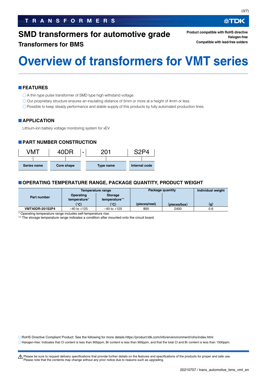### **TRANSFORMERS**

### **SMD transformers for automotive grade**

### **Transformers for BMS**

**Product compatible with RoHS directive Halogen-free Compatible with lead-free solders**

# **Overview of transformers for VMT series**

### **FEATURES**

A thin type pulse transformer of SMD type high withstand voltage.

Our proprietary structure ensures an insulating distance of 5mm or more at a height of 4mm or less.

Possible to keep steady performance and stable supply of this products by fully automated production lines.

#### **APPLICATION**

Lithium-ion battery voltage monitoring system for xEV

#### **PART NUMBER CONSTRUCTION**

| <b>7M1</b>                | 40DR |  |           | <b>COD</b>    |  |
|---------------------------|------|--|-----------|---------------|--|
|                           |      |  |           |               |  |
| Core shape<br>Series name |      |  | Type name | Internal code |  |

#### **OPERATING TEMPERATURE RANGE, PACKAGE QUANTITY, PRODUCT WEIGHT**

|                        |                           | Temperature range               | Package quantity | Individual weight |     |
|------------------------|---------------------------|---------------------------------|------------------|-------------------|-----|
| Part number            | Operating<br>temperature* | <b>Storage</b><br>temperature** |                  |                   |     |
|                        | (°C)                      | (°C)                            | (pieces/reel)    | (pieces/box)      | (g) |
| <b>VMT40DR-201S2P4</b> | $-40$ to $+125$           | $-40$ to $+125$                 | 800              | 2400              | 0.6 |

Operating temperature range includes self-temperature rise.

\*\* The storage temperature range indicates a condition after mounted onto the circuit board.

RoHS Directive Compliant Product: See the following for more details.https://product.tdk.com/info/en/environment/rohs/index.html

Halogen-free: Indicates that Cl content is less than 900ppm, Br content is less than 900ppm, and that the total Cl and Br content is less than 1500ppm.

∰TDK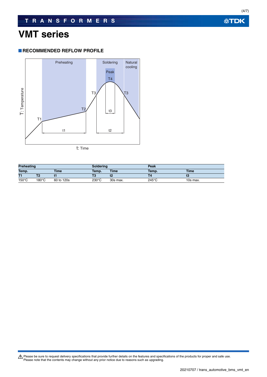### **VMT series**

### **RECOMMENDED REFLOW PROFILE**



| <b>Preheating</b> |                 | <b>Soldering</b> |                 | Peak        |                 |             |
|-------------------|-----------------|------------------|-----------------|-------------|-----------------|-------------|
| Temp.             |                 | <b>Time</b>      | Temp.           | <b>Time</b> | Temp.           | <b>Time</b> |
| T1                |                 |                  |                 |             |                 |             |
| $150^{\circ}$ C   | $180^{\circ}$ C | 60 to 120s       | $230^{\circ}$ C | 30s max.    | $245^{\circ}$ C | 10s max.    |

Please be sure to request delivery specifications that provide further details on the features and specifications of the products for proper and safe use.<br>Please note that the contents may change without any prior notice d

**公TDK**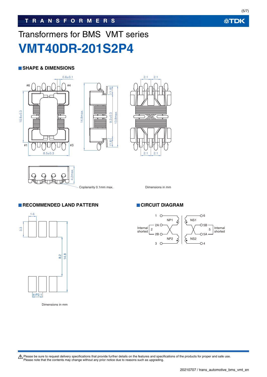# Transformers for BMS VMT series **VMT40DR-201S2P4**

### **SHAPE & DIMENSIONS**









Coplanarity 0.1mm max. Dimensions in mm

### **RECOMMENDED LAND PATTERN CIRCUIT DIAGRAM**



Dimensions in mm



Please be sure to request delivery specifications that provide further details on the features and specifications of the products for proper and safe use.<br>Please note that the contents may change without any prior notice d

**公TDK**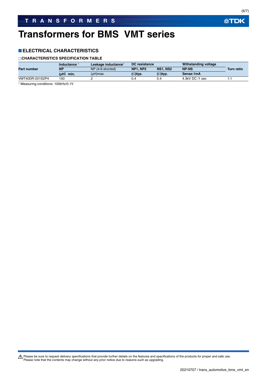### **ELECTRICAL CHARACTERISTICS**

### **CHARACTERISTICS SPECIFICATION TABLE**

|                 | <b>Inductance</b> | DC resistance<br>Leakage inductance* |                 | <b>Withstanding voltage</b> |                 |            |
|-----------------|-------------------|--------------------------------------|-----------------|-----------------------------|-----------------|------------|
| Part number     | <b>NP</b>         | NP (4-6 shorted)                     | <b>NP1. NP2</b> | <b>NS1, NS2</b>             | <b>NP-NS</b>    | Turn ratio |
|                 | ันH)<br>min.      | (µH)max.                             | $\Omega$ )typ.  | $(\Omega)$ typ.             | Sense:1mA       |            |
| VMT40DR-201S2P4 | 150               |                                      |                 | 0.4                         | 4.3kV DC /1 sec |            |

Measuring conditions: 100kHz/0.1V

Please be sure to request delivery specifications that provide further details on the features and specifications of the products for proper and safe use.<br>Please note that the contents may change without any prior notice d

**公TDK**